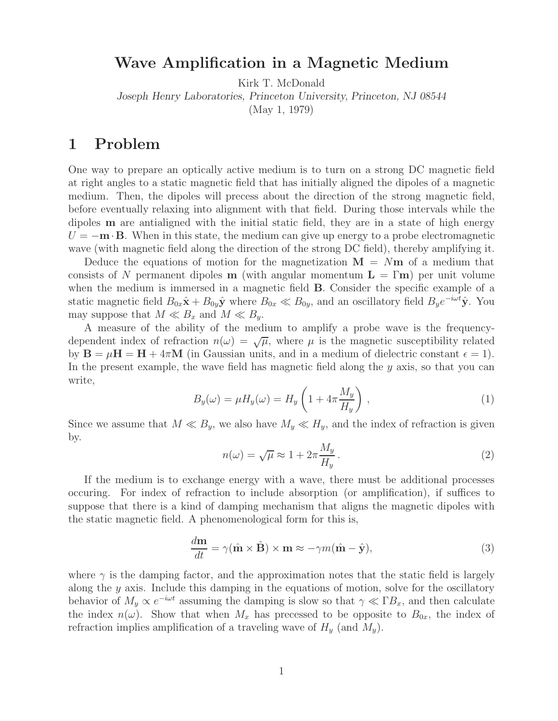## **Wave Amplification in a Magnetic Medium**

Kirk T. McDonald

*Joseph Henry Laboratories, Princeton University, Princeton, NJ 08544*

(May 1, 1979)

## **1 Problem**

One way to prepare an optically active medium is to turn on a strong DC magnetic field at right angles to a static magnetic field that has initially aligned the dipoles of a magnetic medium. Then, the dipoles will precess about the direction of the strong magnetic field, before eventually relaxing into alignment with that field. During those intervals while the dipoles **m** are antialigned with the initial static field, they are in a state of high energy  $U = -\mathbf{m} \cdot \mathbf{B}$ . When in this state, the medium can give up energy to a probe electromagnetic wave (with magnetic field along the direction of the strong DC field), thereby amplifying it.

Deduce the equations of motion for the magnetization  $M = Nm$  of a medium that consists of N permanent dipoles **m** (with angular momentum  $\mathbf{L} = \Gamma \mathbf{m}$ ) per unit volume when the medium is immersed in a magnetic field **B**. Consider the specific example of a static magnetic field  $B_{0x}\hat{\mathbf{x}} + B_{0y}\hat{\mathbf{y}}$  where  $B_{0x} \ll B_{0y}$ , and an oscillatory field  $B_ye^{-i\omega t}\hat{\mathbf{y}}$ . You may suppose that  $M \ll B_x$  and  $M \ll B_y$ .

A measure of the ability of the medium to amplify a probe wave is the frequencydependent index of refraction  $n(\omega) = \sqrt{\mu}$ , where  $\mu$  is the magnetic susceptibility related by  $\mathbf{B} = \mu \mathbf{H} = \mathbf{H} + 4\pi \mathbf{M}$  (in Gaussian units, and in a medium of dielectric constant  $\epsilon = 1$ ). In the present example, the wave field has magnetic field along the  $\gamma$  axis, so that you can write,

$$
B_y(\omega) = \mu H_y(\omega) = H_y \left( 1 + 4\pi \frac{M_y}{H_y} \right) , \qquad (1)
$$

Since we assume that  $M \ll B_y$ , we also have  $M_y \ll H_y$ , and the index of refraction is given by.

$$
n(\omega) = \sqrt{\mu} \approx 1 + 2\pi \frac{M_y}{H_y}.
$$
\n(2)

If the medium is to exchange energy with a wave, there must be additional processes occuring. For index of refraction to include absorption (or amplification), if suffices to suppose that there is a kind of damping mechanism that aligns the magnetic dipoles with the static magnetic field. A phenomenological form for this is,

$$
\frac{d\mathbf{m}}{dt} = \gamma(\hat{\mathbf{m}} \times \hat{\mathbf{B}}) \times \mathbf{m} \approx -\gamma m(\hat{\mathbf{m}} - \hat{\mathbf{y}}),
$$
\n(3)

where  $\gamma$  is the damping factor, and the approximation notes that the static field is largely along the  $y$  axis. Include this damping in the equations of motion, solve for the oscillatory behavior of  $M_y \propto e^{-i\omega t}$  assuming the damping is slow so that  $\gamma \ll \Gamma B_x$ , and then calculate the index  $n(\omega)$ . Show that when  $M_x$  has precessed to be opposite to  $B_{0x}$ , the index of refraction implies amplification of a traveling wave of  $H_y$  (and  $M_y$ ).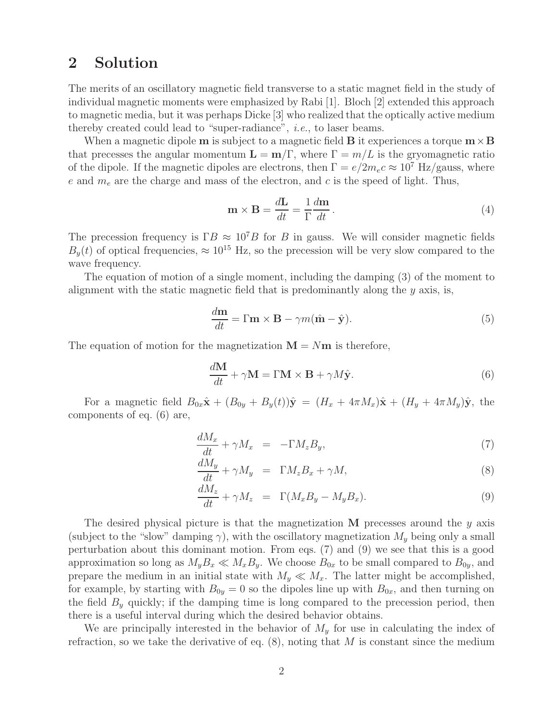## **2 Solution**

The merits of an oscillatory magnetic field transverse to a static magnet field in the study of individual magnetic moments were emphasized by Rabi [1]. Bloch [2] extended this approach to magnetic media, but it was perhaps Dicke [3] who realized that the optically active medium thereby created could lead to "super-radiance", *i.e.*, to laser beams.

When a magnetic dipole **m** is subject to a magnetic field **B** it experiences a torque  $\mathbf{m} \times \mathbf{B}$ that precesses the angular momentum  $\mathbf{L} = \mathbf{m}/\Gamma$ , where  $\Gamma = m/L$  is the gryomagnetic ratio of the dipole. If the magnetic dipoles are electrons, then  $\Gamma = e/2m_ec \approx 10^7 \text{ Hz/gauss}$ , where e and  $m_e$  are the charge and mass of the electron, and c is the speed of light. Thus,

$$
\mathbf{m} \times \mathbf{B} = \frac{d\mathbf{L}}{dt} = \frac{1}{\Gamma} \frac{d\mathbf{m}}{dt}.
$$
 (4)

The precession frequency is  $\Gamma B \approx 10^7 B$  for B in gauss. We will consider magnetic fields  $B_y(t)$  of optical frequencies,  $\approx 10^{15}$  Hz, so the precession will be very slow compared to the wave frequency.

The equation of motion of a single moment, including the damping (3) of the moment to alignment with the static magnetic field that is predominantly along the  $y$  axis, is,

$$
\frac{d\mathbf{m}}{dt} = \Gamma \mathbf{m} \times \mathbf{B} - \gamma m (\hat{\mathbf{m}} - \hat{\mathbf{y}}).
$$
 (5)

The equation of motion for the magnetization  $M = Nm$  is therefore,

$$
\frac{d\mathbf{M}}{dt} + \gamma \mathbf{M} = \Gamma \mathbf{M} \times \mathbf{B} + \gamma M \hat{\mathbf{y}}.
$$
 (6)

For a magnetic field  $B_{0x}\hat{x} + (B_{0y} + B_y(t))\hat{y} = (H_x + 4\pi M_x)\hat{x} + (H_y + 4\pi M_y)\hat{y}$ , the components of eq. (6) are,

$$
\frac{dM_x}{dt} + \gamma M_x = -\Gamma M_z B_y,\tag{7}
$$

$$
\frac{dM_y}{dt} + \gamma M_y = \Gamma M_z B_x + \gamma M,\tag{8}
$$

$$
\frac{dM_z}{dt} + \gamma M_z = \Gamma(M_x B_y - M_y B_x). \tag{9}
$$

The desired physical picture is that the magnetization **M** precesses around the y axis (subject to the "slow" damping  $\gamma$ ), with the oscillatory magnetization  $M_y$  being only a small perturbation about this dominant motion. From eqs. (7) and (9) we see that this is a good approximation so long as  $M_y B_x \ll M_x B_y$ . We choose  $B_{0x}$  to be small compared to  $B_{0y}$ , and prepare the medium in an initial state with  $M_y \ll M_x$ . The latter might be accomplished, for example, by starting with  $B_{0y} = 0$  so the dipoles line up with  $B_{0x}$ , and then turning on the field  $B_y$  quickly; if the damping time is long compared to the precession period, then there is a useful interval during which the desired behavior obtains.

We are principally interested in the behavior of  $M<sub>y</sub>$  for use in calculating the index of refraction, so we take the derivative of eq.  $(8)$ , noting that M is constant since the medium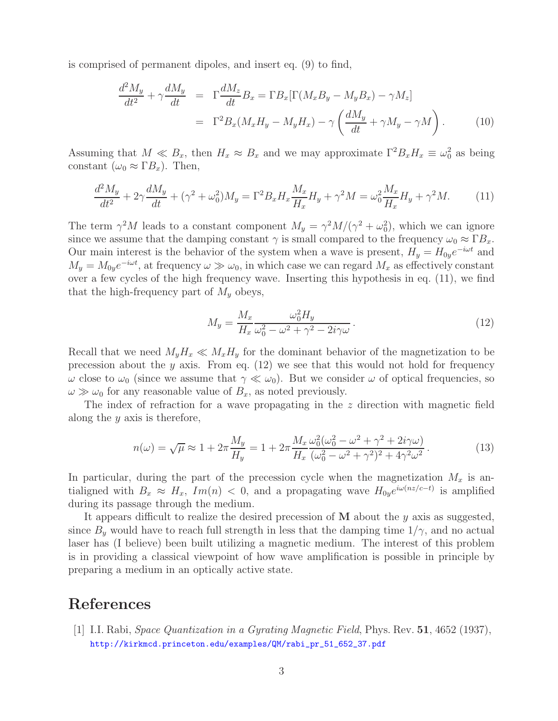is comprised of permanent dipoles, and insert eq. (9) to find,

$$
\frac{d^2 M_y}{dt^2} + \gamma \frac{dM_y}{dt} = \Gamma \frac{dM_z}{dt} B_x = \Gamma B_x [\Gamma(M_x B_y - M_y B_x) - \gamma M_z]
$$

$$
= \Gamma^2 B_x (M_x H_y - M_y H_x) - \gamma \left( \frac{dM_y}{dt} + \gamma M_y - \gamma M \right). \tag{10}
$$

Assuming that  $M \ll B_x$ , then  $H_x \approx B_x$  and we may approximate  $\Gamma^2 B_x H_x \equiv \omega_0^2$  as being constant  $(\omega_0 \approx \Gamma B_x)$ . Then,

$$
\frac{d^2 M_y}{dt^2} + 2\gamma \frac{dM_y}{dt} + (\gamma^2 + \omega_0^2)M_y = \Gamma^2 B_x H_x \frac{M_x}{H_x} H_y + \gamma^2 M = \omega_0^2 \frac{M_x}{H_x} H_y + \gamma^2 M. \tag{11}
$$

The term  $\gamma^2 M$  leads to a constant component  $M_y = \gamma^2 M/(\gamma^2 + \omega_0^2)$ , which we can ignore since we assume that the damping constant  $\gamma$  is small compared to the frequency  $\omega_0 \approx \Gamma B_x$ . Our main interest is the behavior of the system when a wave is present,  $H_y = H_{0y}e^{-i\omega t}$  and  $M_y = M_{0y}e^{-i\omega t}$ , at frequency  $\omega \gg \omega_0$ , in which case we can regard  $M_x$  as effectively constant over a few cycles of the high frequency wave. Inserting this hypothesis in eq. (11), we find that the high-frequency part of  $M<sub>y</sub>$  obeys,

$$
M_y = \frac{M_x}{H_x} \frac{\omega_0^2 H_y}{\omega_0^2 - \omega^2 + \gamma^2 - 2i\gamma\omega}.
$$
\n(12)

Recall that we need  $M_yH_x \ll M_xH_y$  for the dominant behavior of the magnetization to be precession about the y axis. From eq.  $(12)$  we see that this would not hold for frequency  $ω$  close to  $ω_0$  (since we assume that  $γ \ll ω_0$ ). But we consider  $ω$  of optical frequencies, so  $\omega \gg \omega_0$  for any reasonable value of  $B_x$ , as noted previously.

The index of refraction for a wave propagating in the z direction with magnetic field along the  $y$  axis is therefore,

$$
n(\omega) = \sqrt{\mu} \approx 1 + 2\pi \frac{M_y}{H_y} = 1 + 2\pi \frac{M_x}{H_x} \frac{\omega_0^2 (\omega_0^2 - \omega^2 + \gamma^2 + 2i\gamma\omega)}{(\omega_0^2 - \omega^2 + \gamma^2)^2 + 4\gamma^2 \omega^2}.
$$
 (13)

In particular, during the part of the precession cycle when the magnetization  $M_x$  is antialigned with  $B_x \approx H_x$ , Im(n) < 0, and a propagating wave  $H_{0y}e^{i\omega(nz/c-t)}$  is amplified during its passage through the medium.

It appears difficult to realize the desired precession of **M** about the y axis as suggested, since  $B<sub>y</sub>$  would have to reach full strength in less that the damping time  $1/\gamma$ , and no actual laser has (I believe) been built utilizing a magnetic medium. The interest of this problem is in providing a classical viewpoint of how wave amplification is possible in principle by preparing a medium in an optically active state.

## **References**

[1] I.I. Rabi, *Space Quantization in a Gyrating Magnetic Field*, Phys. Rev. **51**, 4652 (1937), http://kirkmcd.princeton.edu/examples/QM/rabi\_pr\_51\_652\_37.pdf